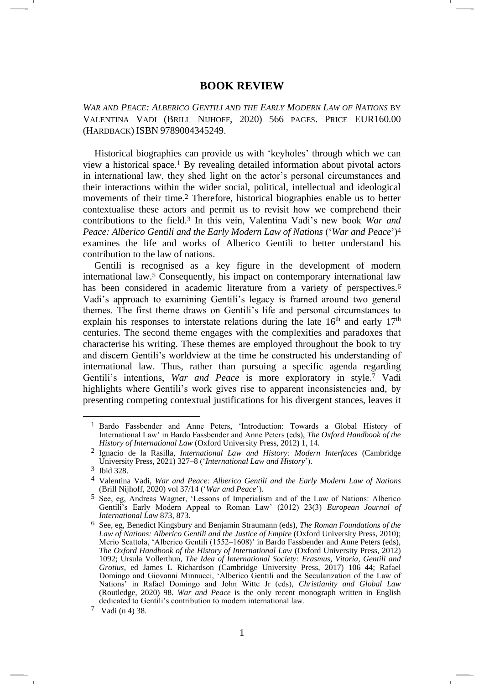## <span id="page-0-0"></span>**BOOK REVIEW**

*WAR AND PEACE: ALBERICO GENTILI AND THE EARLY MODERN LAW OF NATIONS* BY VALENTINA VADI (BRILL NIJHOFF, 2020) 566 PAGES. PRICE EUR160.00 (HARDBACK) ISBN 9789004345249.

<span id="page-0-1"></span>Historical biographies can provide us with 'keyholes' through which we can view a historical space.<sup>1</sup> By revealing detailed information about pivotal actors in international law, they shed light on the actor's personal circumstances and their interactions within the wider social, political, intellectual and ideological movements of their time.<sup>2</sup> Therefore, historical biographies enable us to better contextualise these actors and permit us to revisit how we comprehend their contributions to the field.<sup>3</sup> In this vein, Valentina Vadi's new book *War and Peace: Alberico Gentili and the Early Modern Law of Nations* ('*War and Peace*')<sup>4</sup> examines the life and works of Alberico Gentili to better understand his contribution to the law of nations.

Gentili is recognised as a key figure in the development of modern international law.<sup>5</sup> Consequently, his impact on contemporary international law has been considered in academic literature from a variety of perspectives.<sup>6</sup> Vadi's approach to examining Gentili's legacy is framed around two general themes. The first theme draws on Gentili's life and personal circumstances to explain his responses to interstate relations during the late  $16<sup>th</sup>$  and early  $17<sup>th</sup>$ centuries. The second theme engages with the complexities and paradoxes that characterise his writing. These themes are employed throughout the book to try and discern Gentili's worldview at the time he constructed his understanding of international law. Thus, rather than pursuing a specific agenda regarding Gentili's intentions, *War and Peace* is more exploratory in style.<sup>7</sup> Vadi highlights where Gentili's work gives rise to apparent inconsistencies and, by presenting competing contextual justifications for his divergent stances, leaves it

<sup>1</sup> Bardo Fassbender and Anne Peters, 'Introduction: Towards a Global History of International Law' in Bardo Fassbender and Anne Peters (eds), *The Oxford Handbook of the History of International Law* (Oxford University Press, 2012) 1, 14.

<sup>2</sup> Ignacio de la Rasilla, *International Law and History: Modern Interfaces* (Cambridge University Press, 2021) 327–8 ('*International Law and History*').

<sup>3</sup> Ibid 328.

<sup>4</sup> Valentina Vadi, *War and Peace: Alberico Gentili and the Early Modern Law of Nations* (Brill Nijhoff, 2020) vol 37/14 ('*War and Peace*').

<sup>5</sup> See, eg, Andreas Wagner, 'Lessons of Imperialism and of the Law of Nations: Alberico Gentili's Early Modern Appeal to Roman Law' (2012) 23(3) *European Journal of International Law* 873, 873.

<sup>6</sup> See, eg, Benedict Kingsbury and Benjamin Straumann (eds), *The Roman Foundations of the Law of Nations: Alberico Gentili and the Justice of Empire* (Oxford University Press, 2010); Merio Scattola, 'Alberico Gentili (1552–1608)' in Bardo Fassbender and Anne Peters (eds), *The Oxford Handbook of the History of International Law* (Oxford University Press, 2012) 1092; Ursula Vollerthun, *The Idea of International Society: Erasmus, Vitoria, Gentili and Grotius*, ed James L Richardson (Cambridge University Press, 2017) 106–44; Rafael Domingo and Giovanni Minnucci, 'Alberico Gentili and the Secularization of the Law of Nations' in Rafael Domingo and John Witte Jr (eds), *Christianity and Global Law*  (Routledge, 2020) 98. *War and Peace* is the only recent monograph written in English dedicated to Gentili's contribution to modern international law.

<sup>7</sup> Vadi (n [4\)](#page-0-0) 38.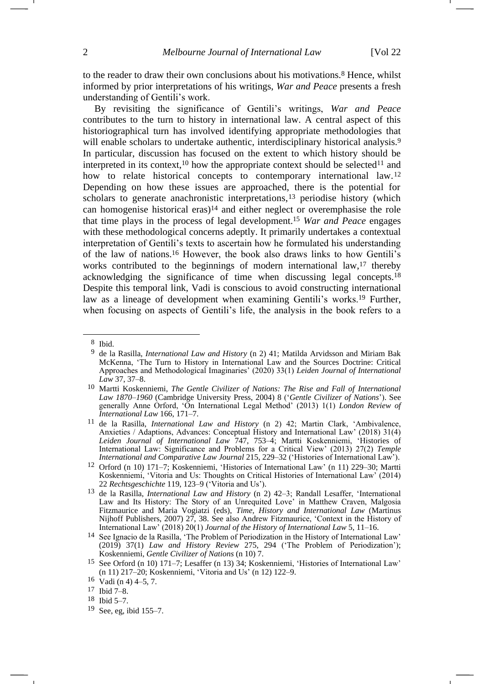<span id="page-1-1"></span>-

to the reader to draw their own conclusions about his motivations.<sup>8</sup> Hence, whilst informed by prior interpretations of his writings, *War and Peace* presents a fresh understanding of Gentili's work.

<span id="page-1-2"></span><span id="page-1-0"></span>By revisiting the significance of Gentili's writings, *War and Peace* contributes to the turn to history in international law. A central aspect of this historiographical turn has involved identifying appropriate methodologies that will enable scholars to undertake authentic, interdisciplinary historical analysis.<sup>9</sup> In particular, discussion has focused on the extent to which history should be interpreted in its context,<sup>10</sup> how the appropriate context should be selected<sup>11</sup> and how to relate historical concepts to contemporary international law.<sup>12</sup> Depending on how these issues are approached, there is the potential for scholars to generate anachronistic interpretations,<sup>13</sup> periodise history (which can homogenise historical eras)<sup>14</sup> and either neglect or overemphasise the role that time plays in the process of legal development.<sup>15</sup> *War and Peace* engages with these methodological concerns adeptly. It primarily undertakes a contextual interpretation of Gentili's texts to ascertain how he formulated his understanding of the law of nations.<sup>16</sup> However, the book also draws links to how Gentili's works contributed to the beginnings of modern international law,<sup>17</sup> thereby acknowledging the significance of time when discussing legal concepts.<sup>18</sup> Despite this temporal link, Vadi is conscious to avoid constructing international law as a lineage of development when examining Gentili's works.<sup>19</sup> Further, when focusing on aspects of Gentili's life, the analysis in the book refers to a

<sup>8</sup> Ibid.

<sup>9</sup> de la Rasilla, *International Law and History* (n [2\)](#page-0-1) 41; Matilda Arvidsson and Miriam Bak McKenna, 'The Turn to History in International Law and the Sources Doctrine: Critical Approaches and Methodological Imaginaries' (2020) 33(1) *Leiden Journal of International Law* 37, 37–8.

<sup>10</sup> Martti Koskenniemi, *The Gentle Civilizer of Nations: The Rise and Fall of International Law 1870–1960* (Cambridge University Press, 2004) 8 ('*Gentle Civilizer of Nations*'). See generally Anne Orford, 'On International Legal Method' (2013) 1(1) *London Review of International Law* 166, 171–7.

<sup>11</sup> de la Rasilla, *International Law and History* (n [2\)](#page-0-1) 42; Martin Clark, 'Ambivalence, Anxieties / Adaptions, Advances: Conceptual History and International Law' (2018) 31(4) *Leiden Journal of International Law* 747, 753–4; Martti Koskenniemi, 'Histories of International Law: Significance and Problems for a Critical View' (2013) 27(2) *Temple International and Comparative Law Journal* 215, 229–32 ('Histories of International Law').

<sup>12</sup> Orford (n 10) 171–7; Koskenniemi, 'Histories of International Law' (n 11) 229–30; Martti Koskenniemi, 'Vitoria and Us: Thoughts on Critical Histories of International Law' (2014) 22 *Rechtsgeschichte* 119, 123–9 ('Vitoria and Us').

<sup>13</sup> de la Rasilla, *International Law and History* (n [2\)](#page-0-1) 42–3; Randall Lesaffer, 'International Law and Its History: The Story of an Unrequited Love' in Matthew Craven, Malgosia Fitzmaurice and Maria Vogiatzi (eds), *Time, History and International Law* (Martinus Nijhoff Publishers, 2007) 27, 38. See also Andrew Fitzmaurice, 'Context in the History of International Law' (2018) 20(1) *Journal of the History of International Law* 5, 11–16.

<sup>14</sup> See Ignacio de la Rasilla, 'The Problem of Periodization in the History of International Law' (2019) 37(1) *Law and History Review* 275, 294 ('The Problem of Periodization'); Koskenniemi, *Gentle Civilizer of Nations* (n [10\)](#page-1-0) 7.

<sup>15</sup> See Orford (n 10) 171–7; Lesaffer (n 13) 34; Koskenniemi, 'Histories of International Law' (n 11) 217–20; Koskenniemi, 'Vitoria and Us' (n 12) 122–9.

<sup>16</sup> Vadi ([n 4\)](#page-0-0) 4–5, 7.

<sup>17</sup> Ibid 7–8.

<sup>18</sup> Ibid 5–7.

<sup>19</sup> See, eg, ibid 155–7.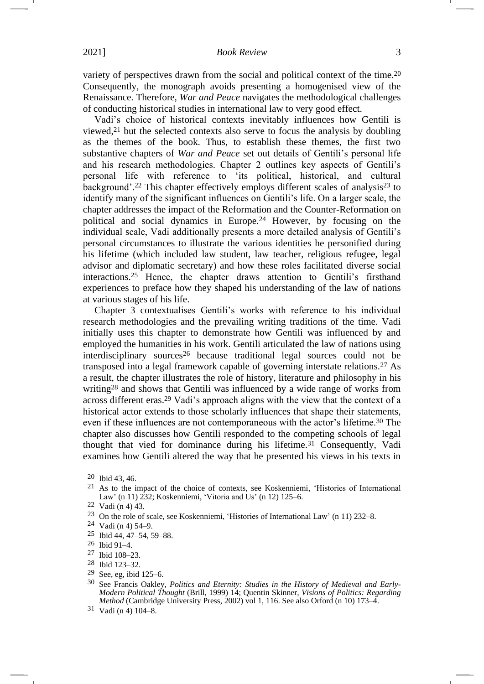variety of perspectives drawn from the social and political context of the time.<sup>20</sup> Consequently, the monograph avoids presenting a homogenised view of the Renaissance. Therefore, *War and Peace* navigates the methodological challenges of conducting historical studies in international law to very good effect.

Vadi's choice of historical contexts inevitably influences how Gentili is viewed,<sup>21</sup> but the selected contexts also serve to focus the analysis by doubling as the themes of the book. Thus, to establish these themes, the first two substantive chapters of *War and Peace* set out details of Gentili's personal life and his research methodologies. Chapter 2 outlines key aspects of Gentili's personal life with reference to 'its political, historical, and cultural background'.<sup>22</sup> This chapter effectively employs different scales of analysis<sup>23</sup> to identify many of the significant influences on Gentili's life. On a larger scale, the chapter addresses the impact of the Reformation and the Counter-Reformation on political and social dynamics in Europe.<sup>24</sup> However, by focusing on the individual scale, Vadi additionally presents a more detailed analysis of Gentili's personal circumstances to illustrate the various identities he personified during his lifetime (which included law student, law teacher, religious refugee, legal advisor and diplomatic secretary) and how these roles facilitated diverse social interactions.<sup>25</sup> Hence, the chapter draws attention to Gentili's firsthand experiences to preface how they shaped his understanding of the law of nations at various stages of his life.

Chapter 3 contextualises Gentili's works with reference to his individual research methodologies and the prevailing writing traditions of the time. Vadi initially uses this chapter to demonstrate how Gentili was influenced by and employed the humanities in his work. Gentili articulated the law of nations using interdisciplinary sources<sup>26</sup> because traditional legal sources could not be transposed into a legal framework capable of governing interstate relations.<sup>27</sup> As a result, the chapter illustrates the role of history, literature and philosophy in his writing<sup>28</sup> and shows that Gentili was influenced by a wide range of works from across different eras.<sup>29</sup> Vadi's approach aligns with the view that the context of a historical actor extends to those scholarly influences that shape their statements, even if these influences are not contemporaneous with the actor's lifetime.<sup>30</sup> The chapter also discusses how Gentili responded to the competing schools of legal thought that vied for dominance during his lifetime.<sup>31</sup> Consequently, Vadi examines how Gentili altered the way that he presented his views in his texts in

<sup>20</sup> Ibid 43, 46.

<sup>21</sup> As to the impact of the choice of contexts, see Koskenniemi, 'Histories of International Law' (n 11) 232; Koskenniemi, 'Vitoria and Us' (n 12) 125–6.

<sup>22</sup> Vadi ([n 4\)](#page-0-0) 43.

<sup>23</sup> On the role of scale, see Koskenniemi, 'Histories of International Law' (n 11) 232–8.

<sup>24</sup> Vadi ([n 4\)](#page-0-0) 54–9.

<sup>25</sup> Ibid 44, 47–54, 59–88.

<sup>26</sup> Ibid 91–4.

<sup>27</sup> Ibid 108–23.

<sup>28</sup> Ibid 123–32.

<sup>29</sup> See, eg, ibid 125–6.

<sup>30</sup> See Francis Oakley, *Politics and Eternity: Studies in the History of Medieval and Early-Modern Political Thought* (Brill, 1999) 14; Quentin Skinner, *Visions of Politics: Regarding Method* (Cambridge University Press, 2002) vol 1, 116. See also Orford (n 10) 173–4.

<sup>31</sup> Vadi ([n 4\)](#page-0-0) 104–8.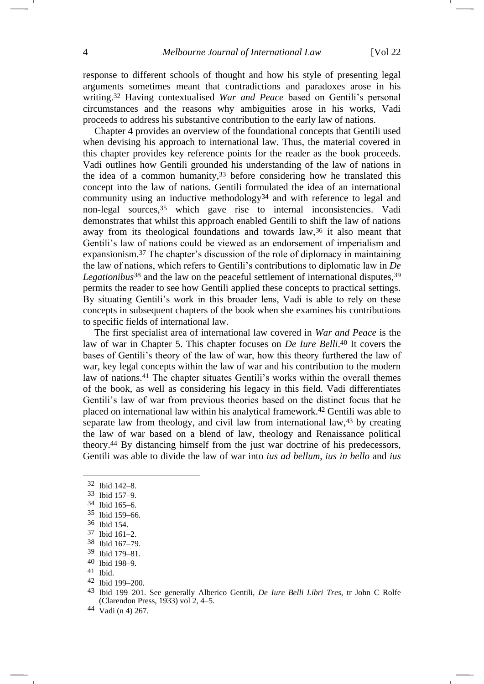response to different schools of thought and how his style of presenting legal arguments sometimes meant that contradictions and paradoxes arose in his writing.<sup>32</sup> Having contextualised *War and Peace* based on Gentili's personal circumstances and the reasons why ambiguities arose in his works, Vadi proceeds to address his substantive contribution to the early law of nations.

Chapter 4 provides an overview of the foundational concepts that Gentili used when devising his approach to international law. Thus, the material covered in this chapter provides key reference points for the reader as the book proceeds. Vadi outlines how Gentili grounded his understanding of the law of nations in the idea of a common humanity,  $33$  before considering how he translated this concept into the law of nations. Gentili formulated the idea of an international community using an inductive methodology<sup>34</sup> and with reference to legal and non-legal sources,<sup>35</sup> which gave rise to internal inconsistencies. Vadi demonstrates that whilst this approach enabled Gentili to shift the law of nations away from its theological foundations and towards law,<sup>36</sup> it also meant that Gentili's law of nations could be viewed as an endorsement of imperialism and expansionism.<sup>37</sup> The chapter's discussion of the role of diplomacy in maintaining the law of nations, which refers to Gentili's contributions to diplomatic law in *De*  Legationibus<sup>38</sup> and the law on the peaceful settlement of international disputes,<sup>39</sup> permits the reader to see how Gentili applied these concepts to practical settings. By situating Gentili's work in this broader lens, Vadi is able to rely on these concepts in subsequent chapters of the book when she examines his contributions to specific fields of international law.

The first specialist area of international law covered in *War and Peace* is the law of war in Chapter 5. This chapter focuses on *De Iure Belli*. <sup>40</sup> It covers the bases of Gentili's theory of the law of war, how this theory furthered the law of war, key legal concepts within the law of war and his contribution to the modern law of nations.<sup>41</sup> The chapter situates Gentili's works within the overall themes of the book, as well as considering his legacy in this field. Vadi differentiates Gentili's law of war from previous theories based on the distinct focus that he placed on international law within his analytical framework.<sup>42</sup> Gentili was able to separate law from theology, and civil law from international law,<sup>43</sup> by creating the law of war based on a blend of law, theology and Renaissance political theory.<sup>44</sup> By distancing himself from the just war doctrine of his predecessors, Gentili was able to divide the law of war into *ius ad bellum*, *ius in bello* and *ius* 

- 35 Ibid 159–66.
- 36 Ibid 154.
- 37 Ibid 161–2.
- 38 Ibid 167–79.
- 39 Ibid 179–81.
- 40 Ibid 198–9.
- 41 Ibid.
- 42 Ibid 199–200.

<span id="page-3-0"></span><sup>32</sup> Ibid 142–8.

<sup>33</sup> Ibid 157–9.

<sup>34</sup> Ibid 165–6.

<sup>43</sup> Ibid 199–201. See generally Alberico Gentili, *De Iure Belli Libri Tres*, tr John C Rolfe (Clarendon Press, 1933) vol 2, 4–5.

<sup>44</sup> Vadi ([n 4\)](#page-0-0) 267.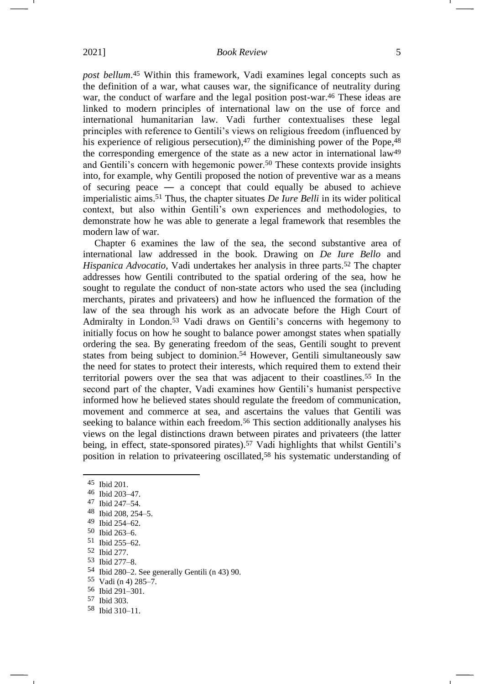*post bellum*. <sup>45</sup> Within this framework, Vadi examines legal concepts such as the definition of a war, what causes war, the significance of neutrality during war, the conduct of warfare and the legal position post-war.<sup>46</sup> These ideas are linked to modern principles of international law on the use of force and international humanitarian law. Vadi further contextualises these legal principles with reference to Gentili's views on religious freedom (influenced by his experience of religious persecution), $47$  the diminishing power of the Pope, $48$ the corresponding emergence of the state as a new actor in international law<sup>49</sup> and Gentili's concern with hegemonic power.<sup>50</sup> These contexts provide insights into, for example, why Gentili proposed the notion of preventive war as a means of securing peace — a concept that could equally be abused to achieve imperialistic aims.<sup>51</sup> Thus, the chapter situates *De Iure Belli* in its wider political context, but also within Gentili's own experiences and methodologies, to demonstrate how he was able to generate a legal framework that resembles the modern law of war.

Chapter 6 examines the law of the sea, the second substantive area of international law addressed in the book. Drawing on *De Iure Bello* and *Hispanica Advocatio*, Vadi undertakes her analysis in three parts.<sup>52</sup> The chapter addresses how Gentili contributed to the spatial ordering of the sea, how he sought to regulate the conduct of non-state actors who used the sea (including merchants, pirates and privateers) and how he influenced the formation of the law of the sea through his work as an advocate before the High Court of Admiralty in London.<sup>53</sup> Vadi draws on Gentili's concerns with hegemony to initially focus on how he sought to balance power amongst states when spatially ordering the sea. By generating freedom of the seas, Gentili sought to prevent states from being subject to dominion.<sup>54</sup> However, Gentili simultaneously saw the need for states to protect their interests, which required them to extend their territorial powers over the sea that was adjacent to their coastlines.<sup>55</sup> In the second part of the chapter, Vadi examines how Gentili's humanist perspective informed how he believed states should regulate the freedom of communication, movement and commerce at sea, and ascertains the values that Gentili was seeking to balance within each freedom.<sup>56</sup> This section additionally analyses his views on the legal distinctions drawn between pirates and privateers (the latter being, in effect, state-sponsored pirates).<sup>57</sup> Vadi highlights that whilst Gentili's position in relation to privateering oscillated,<sup>58</sup> his systematic understanding of

58 Ibid 310–11.

<sup>45</sup> Ibid 201.

 $\frac{46}{47}$  Ibid 203-47.

<sup>47</sup> Ibid 247–54.

<sup>48</sup> Ibid 208, 254–5.

<sup>49</sup> Ibid 254–62.

<sup>50</sup> Ibid 263–6.

<sup>51</sup> Ibid 255–62.

<sup>52</sup> Ibid 277.

<sup>53</sup> Ibid 277–8.

<sup>54</sup> Ibid 280–2. See generally Gentili (n [43\)](#page-3-0) 90.

<sup>55</sup> Vadi ([n 4\)](#page-0-0) 285–7.

<sup>56</sup> Ibid 291–301.

<sup>57</sup> Ibid 303.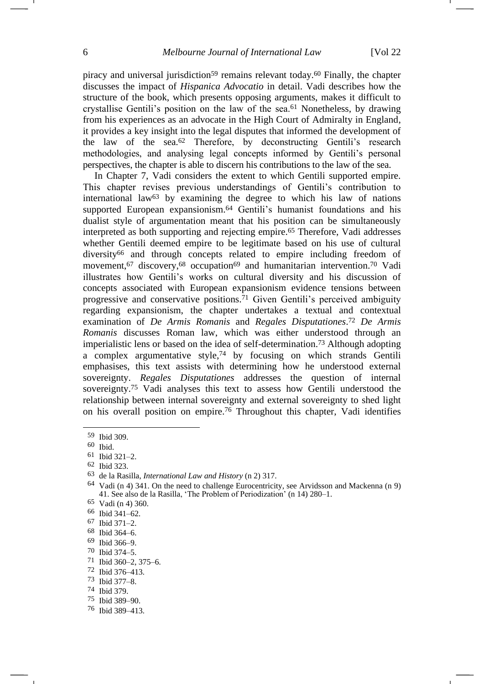piracy and universal jurisdiction<sup>59</sup> remains relevant today.<sup>60</sup> Finally, the chapter discusses the impact of *Hispanica Advocatio* in detail. Vadi describes how the structure of the book, which presents opposing arguments, makes it difficult to crystallise Gentili's position on the law of the sea.<sup>61</sup> Nonetheless, by drawing from his experiences as an advocate in the High Court of Admiralty in England, it provides a key insight into the legal disputes that informed the development of the law of the sea.<sup>62</sup> Therefore, by deconstructing Gentili's research methodologies, and analysing legal concepts informed by Gentili's personal perspectives, the chapter is able to discern his contributions to the law of the sea.

In Chapter 7, Vadi considers the extent to which Gentili supported empire. This chapter revises previous understandings of Gentili's contribution to international law $63$  by examining the degree to which his law of nations supported European expansionism.<sup>64</sup> Gentili's humanist foundations and his dualist style of argumentation meant that his position can be simultaneously interpreted as both supporting and rejecting empire.<sup>65</sup> Therefore, Vadi addresses whether Gentili deemed empire to be legitimate based on his use of cultural diversity<sup>66</sup> and through concepts related to empire including freedom of movement,<sup>67</sup> discovery,<sup>68</sup> occupation<sup>69</sup> and humanitarian intervention.<sup>70</sup> Vadi illustrates how Gentili's works on cultural diversity and his discussion of concepts associated with European expansionism evidence tensions between progressive and conservative positions.<sup>71</sup> Given Gentili's perceived ambiguity regarding expansionism, the chapter undertakes a textual and contextual examination of *De Armis Romanis* and *Regales Disputationes*. <sup>72</sup> *De Armis Romanis* discusses Roman law, which was either understood through an imperialistic lens or based on the idea of self-determination.<sup>73</sup> Although adopting a complex argumentative style,<sup>74</sup> by focusing on which strands Gentili emphasises, this text assists with determining how he understood external sovereignty. *Regales Disputationes* addresses the question of internal sovereignty.<sup>75</sup> Vadi analyses this text to assess how Gentili understood the relationship between internal sovereignty and external sovereignty to shed light on his overall position on empire.<sup>76</sup> Throughout this chapter, Vadi identifies

73 Ibid 377–8.

<sup>59</sup> Ibid 309.

<sup>60</sup> Ibid.

<sup>61</sup> Ibid 321–2.

<sup>62</sup> Ibid 323.

<sup>63</sup> de la Rasilla, *International Law and History* (n [2\)](#page-0-1) 317.

<sup>64</sup> Vadi (n [4\)](#page-0-0) 341. On the need to challenge Eurocentricity, see Arvidsson and Mackenna (n [9\)](#page-1-1) 41. See also de la Rasilla, 'The Problem of Periodization' (n [14\)](#page-1-2) 280–1.

<sup>65</sup> Vadi (n [4\)](#page-0-0) 360.

<sup>66</sup> Ibid 341–62.

<sup>67</sup> Ibid 371–2.

<sup>68</sup> Ibid 364–6.

<sup>69</sup> Ibid 366–9.

<sup>70</sup> Ibid 374–5.

<sup>71</sup> Ibid 360–2, 375–6.

<sup>72</sup> Ibid 376–413.

<sup>74</sup> Ibid 379.

<sup>75</sup> Ibid 389–90.

<sup>76</sup> Ibid 389–413.